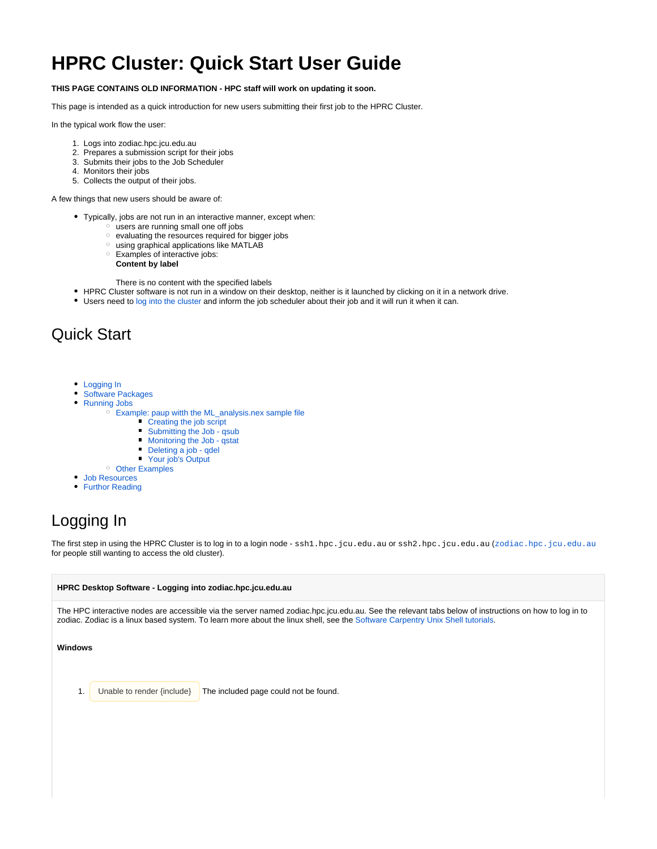# **HPRC Cluster: Quick Start User Guide**

#### **THIS PAGE CONTAINS OLD INFORMATION - HPC staff will work on updating it soon.**

This page is intended as a quick introduction for new users submitting their first job to the HPRC Cluster.

In the typical work flow the user:

- 1. Logs into zodiac.hpc.jcu.edu.au
- 2. Prepares a submission script for their jobs
- 3. Submits their jobs to the Job Scheduler
- 4. Monitors their jobs
- 5. Collects the output of their jobs.

A few things that new users should be aware of:

- Typically, jobs are not run in an interactive manner, except when:
	- $\degree$  users are running small one off jobs
	- o evaluating the resources required for bigger jobs
	- $\circ$  using graphical applications like MATLAB
	- Examples of interactive jobs:
		- **Content by label**

There is no content with the specified labels

- HPRC Cluster software is not run in a window on their desktop, neither is it launched by clicking on it in a network drive.
- Users need to [log into the cluster](#page-0-0) and inform the job scheduler about their job and it will run it when it can.

## Quick Start

- [Logging In](#page-0-0)
- [Software Packages](#page-3-0)
- [Running Jobs](#page-4-0)
	- [Example: paup witth the ML\\_analysis.nex sample file](#page-4-1)
		- **[Creating the job script](#page-5-0)**
		- $\blacksquare$ [Submitting the Job - qsub](#page-6-0)
		- $\blacksquare$ [Monitoring the Job - qstat](#page-6-1)
		- Deleting a job gdel
		- $\blacksquare$ [Your job's Output](#page-9-1)
	- <sup>o</sup> [Other Examples](#page-11-0)
- [Job Resources](#page-11-1)
- [Furthor Reading](#page-11-2)

# <span id="page-0-0"></span>Logging In

The first step in using the HPRC Cluster is to log in to a login node - ssh1.hpc.jcu.edu.au or ssh2.hpc.jcu.edu.au ([zodiac.hpc.jcu.edu.au](http://zodiac.hpc.jcu.edu.au) for people still wanting to access the old cluster).

#### **HPRC Desktop Software - Logging into zodiac.hpc.jcu.edu.au**

The HPC interactive nodes are accessible via the server named zodiac.hpc.jcu.edu.au. See the relevant tabs below of instructions on how to log in to zodiac. Zodiac is a linux based system. To learn more about the linux shell, see the [Software Carpentry Unix Shell tutorials](http://software-carpentry.org/v4/shell/index.html).

#### **Windows**

1. Unable to render {include} The included page could not be found.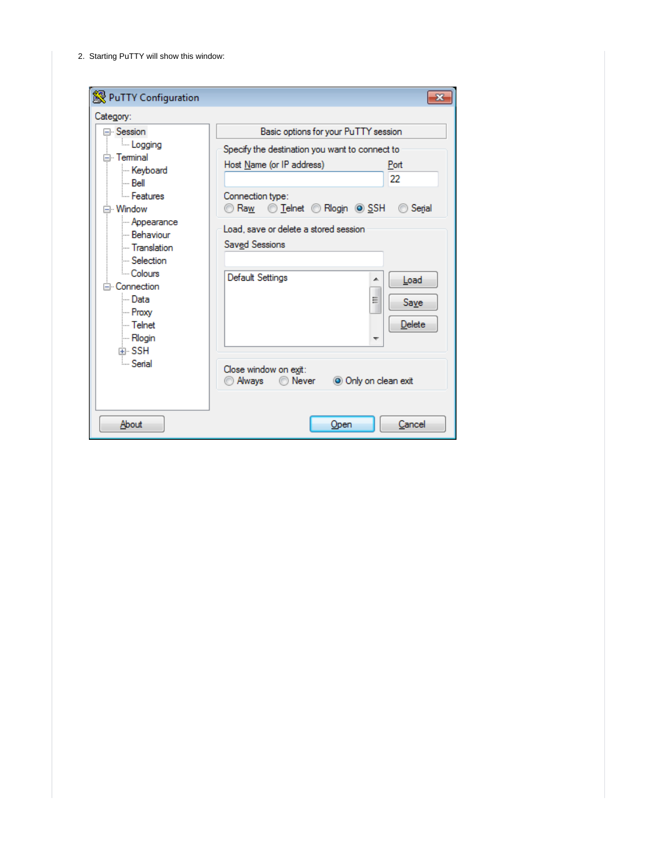2. Starting PuTTY will show this window:

| PuTTY Configuration<br>Category:                                                                                                                                                       |                                                                                                                                                                                                                             | $\mathbf{z}$                           |
|----------------------------------------------------------------------------------------------------------------------------------------------------------------------------------------|-----------------------------------------------------------------------------------------------------------------------------------------------------------------------------------------------------------------------------|----------------------------------------|
| ⊟- Session                                                                                                                                                                             | Basic options for your PuTTY session                                                                                                                                                                                        |                                        |
| <b>Logging</b><br>⊟ Terminal<br>Keyboard<br>i Bell<br><b>Eeatures</b><br>⊟ Window<br>- Appearance<br>- Behaviour<br>- Translation<br>Selection<br>- Colours<br>⊟-Connection<br>l… Data | Specify the destination you want to connect to<br>Host Name (or IP address)<br>Connection type:<br>© Raw ∴ ⊙ Telnet ← Rlogin ⊙ SSH<br>Load, save or delete a stored session<br>Saved Sessions<br>Default Settings<br>▲<br>Ξ | Port<br>22<br>◯ Serial<br>Load<br>Save |
| l⊶ Telnet<br>l… Rlogin<br>中·SSH<br><b>E.</b> Serial<br>About                                                                                                                           | Close window on exit:<br>◯ Never<br>O Only on clean exit<br>Always<br>Open                                                                                                                                                  | <b>Delete</b><br>Cancel                |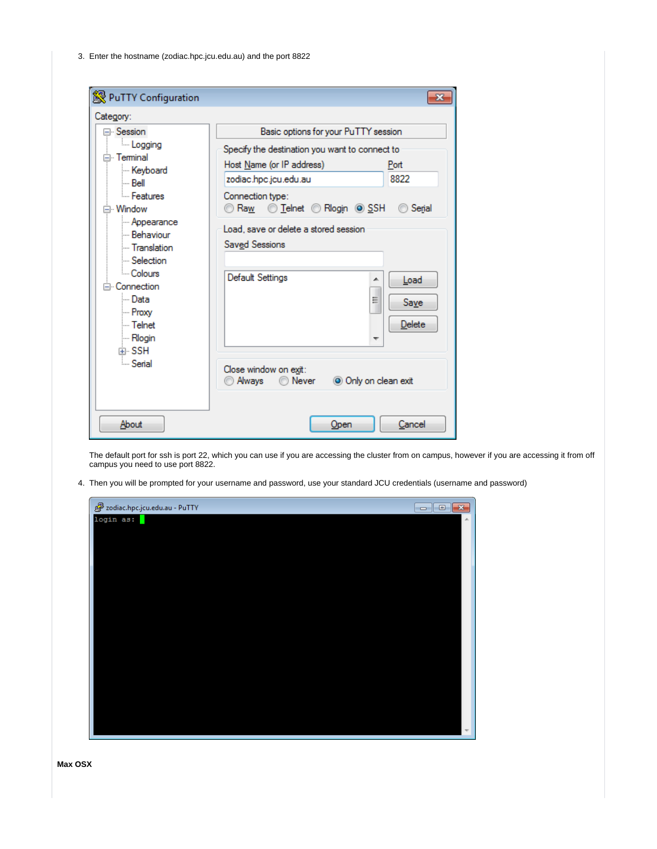3. Enter the hostname (zodiac.hpc.jcu.edu.au) and the port 8822

| PuTTY Configuration                                                                                                                                                                                                                                                                        | -23                                                                                                                                                                                                                                                                                                                                                                                                                     |
|--------------------------------------------------------------------------------------------------------------------------------------------------------------------------------------------------------------------------------------------------------------------------------------------|-------------------------------------------------------------------------------------------------------------------------------------------------------------------------------------------------------------------------------------------------------------------------------------------------------------------------------------------------------------------------------------------------------------------------|
| Category:<br>⊟- Session<br><b>Logging</b><br>⊟ Teminal<br>Keyboard<br>i… Bell<br>- Features<br>⊟ Window<br>- Appearance<br>- Behaviour<br>- Translation<br>Selection<br><sup>⊟</sup> Colours<br>⊟ Connection<br>l… Data<br>l… Proxv<br>l… Telnet<br><b>Mogin</b><br>中·SSH<br><b>Serial</b> | Basic options for your PuTTY session<br>Specify the destination you want to connect to<br>Host Name (or IP address)<br>Port<br>8822<br>zodiac.hpc.jcu.edu.au<br>Connection type:<br>◯ Telnet ◯ Rlogin   SSH<br>Raw<br>Serial<br>Load, save or delete a stored session<br>Saved Sessions<br>Default Settings<br>Load<br>┻<br>Ξ<br>Save<br>Delete<br>Close window on exit:<br>O Only on clean exit<br>@ Always<br>◯ Never |
| About                                                                                                                                                                                                                                                                                      | Cancel<br>Open                                                                                                                                                                                                                                                                                                                                                                                                          |

The default port for ssh is port 22, which you can use if you are accessing the cluster from on campus, however if you are accessing it from off campus you need to use port 8822.

4. Then you will be prompted for your username and password, use your standard JCU credentials (username and password)

| zodiac.hpc.jcu.edu.au - PuTTY | $ -$<br>$-x$             |
|-------------------------------|--------------------------|
| login as:                     |                          |
|                               |                          |
|                               |                          |
|                               |                          |
|                               |                          |
|                               |                          |
|                               |                          |
|                               |                          |
|                               |                          |
|                               |                          |
|                               |                          |
|                               |                          |
|                               |                          |
|                               |                          |
|                               |                          |
|                               |                          |
|                               | $\overline{\phantom{a}}$ |

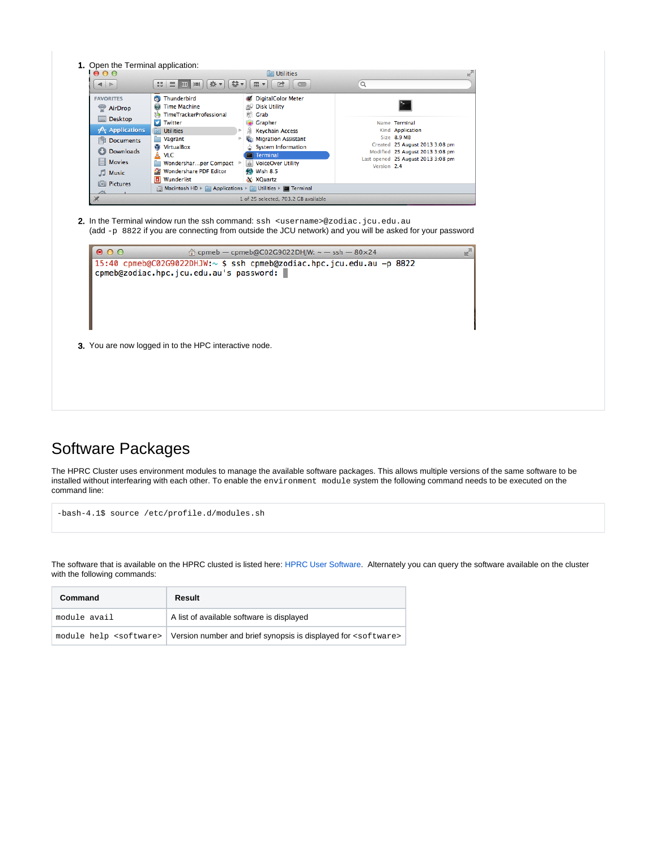| <b>FAVORITES</b><br>AirDrop | <b>@</b> Thunderbird<br>@ Time Machine<br>the TimeTrackerProfessional                                            | C DigitalColor Meter<br><b>BU Disk Utility</b><br>Grab<br>P.                                          |                                                                                                          |
|-----------------------------|------------------------------------------------------------------------------------------------------------------|-------------------------------------------------------------------------------------------------------|----------------------------------------------------------------------------------------------------------|
| <b>Desktop</b>              | <b>P</b><br>Twitter                                                                                              | Grapher                                                                                               | Name Terminal                                                                                            |
| A Applications<br>Documents | <b>Utilities</b><br>Vagrant                                                                                      | <b>Keychain Access</b><br>Migration Assistant                                                         | Kind Application<br>Size 8.9 MB                                                                          |
| Downloads                   | VirtualBox                                                                                                       | System Information                                                                                    | Created 25 August 2013 3:08 pm<br>Modified 25 August 2013 3:08 pm                                        |
| <b>Movies</b>               | A<br><b>VLC</b><br>Wondersharper Compact >                                                                       | <b>Terminal</b><br>i VoiceOver Utility                                                                | Last opened 25 August 2013 3:08 pm                                                                       |
| Music                       | Wondershare PDF Editor                                                                                           | Wish 8.5                                                                                              | Version 2.4                                                                                              |
| <b>O</b> Pictures           | <b>El Wunderlist</b>                                                                                             | X XQuartz                                                                                             |                                                                                                          |
|                             | Macintosh HD > Applications > All Utilities > E Terminal                                                         |                                                                                                       |                                                                                                          |
|                             | 2. In the Terminal window run the ssh command: ssh <username>@zodiac.jcu.edu.au</username>                       | 1 of 25 selected, 703.2 GB available<br>$\textcircled{r}$ cpmeb - cpmeb@C02G9022DHJW: ~ - ssh - 80×24 | (add -p 8822 if you are connecting from outside the JCU network) and you will be asked for your password |
| $\bullet$ $\circ$ $\circ$   | 15:40 cpmeb@C02G9022DHJW:~ \$ ssh cpmeb@zodiac.hpc.jcu.edu.au -p 8822<br>cpmeb@zodiac.hpc.jcu.edu.au's password: |                                                                                                       |                                                                                                          |
|                             |                                                                                                                  |                                                                                                       |                                                                                                          |
|                             |                                                                                                                  |                                                                                                       |                                                                                                          |
|                             |                                                                                                                  |                                                                                                       |                                                                                                          |
|                             | 3. You are now logged in to the HPC interactive node.                                                            |                                                                                                       |                                                                                                          |
|                             |                                                                                                                  |                                                                                                       |                                                                                                          |

# <span id="page-3-0"></span>Software Packages

The HPRC Cluster uses environment modules to manage the available software packages. This allows multiple versions of the same software to be installed without interfearing with each other. To enable the environment module system the following command needs to be executed on the command line:

-bash-4.1\$ source /etc/profile.d/modules.sh

The software that is available on the HPRC clusted is listed here: [HPRC User Software](https://secure.jcu.edu.au/confluence/display/Public/HPRC+User+Software). Alternately you can query the software available on the cluster with the following commands:

| Command      | Result                                                                                                       |
|--------------|--------------------------------------------------------------------------------------------------------------|
| module avail | A list of available software is displayed                                                                    |
|              | module help <software>   Version number and brief synopsis is displayed for <software></software></software> |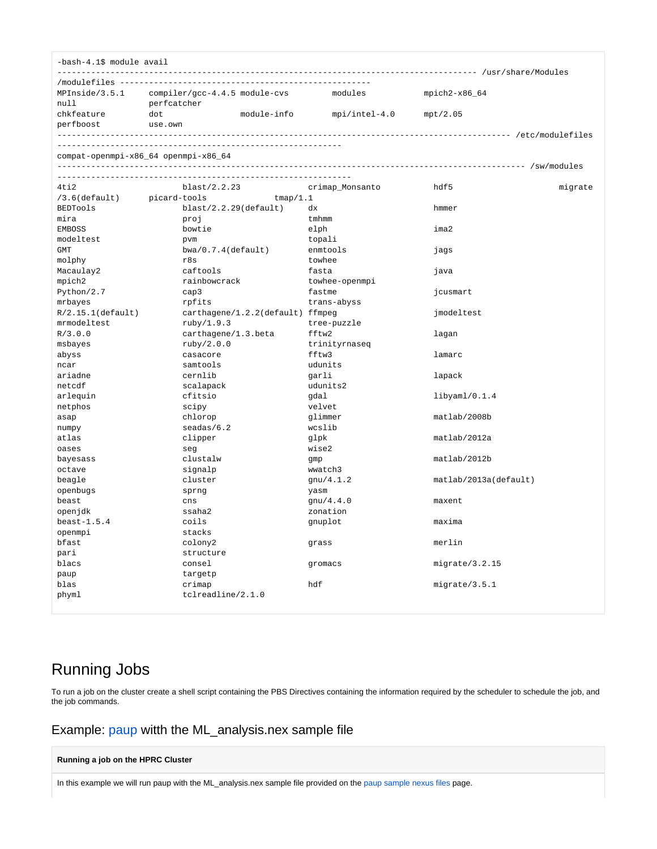| MPInside/3.5.1<br>$mpich2-x86_64$<br>compiler/gcc-4.4.5 module-cvs<br>modules<br>null<br>perfcatcher<br>module-info<br>chkfeature<br>dot<br>$mpi/intel-4.0$<br>mpt/2.05<br>perfboost<br>use.own<br>compat-openmpi-x86_64 openmpi-x86_64<br>$4t$ i $2$<br>blast/2.2.23<br>hdf5<br>crimap_Monsanto<br>migrate<br>picard-tools<br>$/3.6$ (default)<br>tmap/1.1<br><b>BEDTools</b><br>$blast/2.2.29$ (default)<br>dx<br>hmmer<br>tmhmm<br>mira<br>proj<br><b>EMBOSS</b><br>bowtie<br>elph<br>ima2<br>modeltest<br>pvm<br>topali<br>GMT<br>$bwa/0.7.4$ (default)<br>enmtools<br>jags<br>r8s<br>towhee<br>molphy<br>caftools<br>fasta<br>Macaulay2<br>java<br>rainbowcrack<br>mpich2<br>towhee-openmpi<br>Python/2.7<br>fastme<br>cap3<br>jcusmart<br>mrbayes<br>rpfits<br>trans-abyss<br>$R/2.15.1$ (default)<br>carthagene/1.2.2(default) ffmpeg<br>jmodeltest<br>mrmodeltest<br>ruby/1.9.3<br>tree-puzzle<br>R/3.0.0<br>carthagene/1.3.beta<br>fftw2<br>lagan<br>ruby/2.0.0<br>msbayes<br>trinityrnaseq<br>casacore<br>fftw3<br>lamarc<br>abyss<br>samtools<br>udunits<br>ncar<br>cernlib<br>ariadne<br>garli<br>lapack<br>netcdf<br>scalapack<br>udunits2<br>arlequin<br>cfitsio<br>gdal<br>$\text{libyaml}/0.1.4$<br>netphos<br>velvet<br>scipy<br>chlorop<br>glimmer<br>matlab/2008b<br>asap<br>seadas/6.2<br>wcslib<br>numpy<br>matlab/2012a<br>atlas<br>clipper<br>glpk<br>wise2<br>oases<br>sea<br>clustalw<br>matlab/2012b<br>bayesass<br>gmp<br>wwatch3<br>octave<br>signalp<br>beagle<br>cluster<br>gnu/4.1.2<br>matlab/2013a(default)<br>openbugs<br>sprng<br>yasm<br>beast<br>cns<br>gnu/4.4.0<br>maxent<br>openjdk<br>ssaha2<br>zonation<br>coils<br>$beast-1.5.4$<br>maxima<br>gnuplot<br>openmpi<br>stacks<br>merlin<br>bfast<br>colony2<br>grass<br>structure<br>pari<br>consel<br>migrate/3.2.15<br>blacs<br>gromacs | -bash-4.1\$ module avail |  |  |
|-----------------------------------------------------------------------------------------------------------------------------------------------------------------------------------------------------------------------------------------------------------------------------------------------------------------------------------------------------------------------------------------------------------------------------------------------------------------------------------------------------------------------------------------------------------------------------------------------------------------------------------------------------------------------------------------------------------------------------------------------------------------------------------------------------------------------------------------------------------------------------------------------------------------------------------------------------------------------------------------------------------------------------------------------------------------------------------------------------------------------------------------------------------------------------------------------------------------------------------------------------------------------------------------------------------------------------------------------------------------------------------------------------------------------------------------------------------------------------------------------------------------------------------------------------------------------------------------------------------------------------------------------------------------------------------------------------------------------------------------------------------------------------------------------------------------------------------|--------------------------|--|--|
|                                                                                                                                                                                                                                                                                                                                                                                                                                                                                                                                                                                                                                                                                                                                                                                                                                                                                                                                                                                                                                                                                                                                                                                                                                                                                                                                                                                                                                                                                                                                                                                                                                                                                                                                                                                                                                   |                          |  |  |
|                                                                                                                                                                                                                                                                                                                                                                                                                                                                                                                                                                                                                                                                                                                                                                                                                                                                                                                                                                                                                                                                                                                                                                                                                                                                                                                                                                                                                                                                                                                                                                                                                                                                                                                                                                                                                                   |                          |  |  |
|                                                                                                                                                                                                                                                                                                                                                                                                                                                                                                                                                                                                                                                                                                                                                                                                                                                                                                                                                                                                                                                                                                                                                                                                                                                                                                                                                                                                                                                                                                                                                                                                                                                                                                                                                                                                                                   |                          |  |  |
|                                                                                                                                                                                                                                                                                                                                                                                                                                                                                                                                                                                                                                                                                                                                                                                                                                                                                                                                                                                                                                                                                                                                                                                                                                                                                                                                                                                                                                                                                                                                                                                                                                                                                                                                                                                                                                   |                          |  |  |
|                                                                                                                                                                                                                                                                                                                                                                                                                                                                                                                                                                                                                                                                                                                                                                                                                                                                                                                                                                                                                                                                                                                                                                                                                                                                                                                                                                                                                                                                                                                                                                                                                                                                                                                                                                                                                                   |                          |  |  |
|                                                                                                                                                                                                                                                                                                                                                                                                                                                                                                                                                                                                                                                                                                                                                                                                                                                                                                                                                                                                                                                                                                                                                                                                                                                                                                                                                                                                                                                                                                                                                                                                                                                                                                                                                                                                                                   |                          |  |  |
|                                                                                                                                                                                                                                                                                                                                                                                                                                                                                                                                                                                                                                                                                                                                                                                                                                                                                                                                                                                                                                                                                                                                                                                                                                                                                                                                                                                                                                                                                                                                                                                                                                                                                                                                                                                                                                   |                          |  |  |
|                                                                                                                                                                                                                                                                                                                                                                                                                                                                                                                                                                                                                                                                                                                                                                                                                                                                                                                                                                                                                                                                                                                                                                                                                                                                                                                                                                                                                                                                                                                                                                                                                                                                                                                                                                                                                                   |                          |  |  |
|                                                                                                                                                                                                                                                                                                                                                                                                                                                                                                                                                                                                                                                                                                                                                                                                                                                                                                                                                                                                                                                                                                                                                                                                                                                                                                                                                                                                                                                                                                                                                                                                                                                                                                                                                                                                                                   |                          |  |  |
|                                                                                                                                                                                                                                                                                                                                                                                                                                                                                                                                                                                                                                                                                                                                                                                                                                                                                                                                                                                                                                                                                                                                                                                                                                                                                                                                                                                                                                                                                                                                                                                                                                                                                                                                                                                                                                   |                          |  |  |
|                                                                                                                                                                                                                                                                                                                                                                                                                                                                                                                                                                                                                                                                                                                                                                                                                                                                                                                                                                                                                                                                                                                                                                                                                                                                                                                                                                                                                                                                                                                                                                                                                                                                                                                                                                                                                                   |                          |  |  |
|                                                                                                                                                                                                                                                                                                                                                                                                                                                                                                                                                                                                                                                                                                                                                                                                                                                                                                                                                                                                                                                                                                                                                                                                                                                                                                                                                                                                                                                                                                                                                                                                                                                                                                                                                                                                                                   |                          |  |  |
|                                                                                                                                                                                                                                                                                                                                                                                                                                                                                                                                                                                                                                                                                                                                                                                                                                                                                                                                                                                                                                                                                                                                                                                                                                                                                                                                                                                                                                                                                                                                                                                                                                                                                                                                                                                                                                   |                          |  |  |
|                                                                                                                                                                                                                                                                                                                                                                                                                                                                                                                                                                                                                                                                                                                                                                                                                                                                                                                                                                                                                                                                                                                                                                                                                                                                                                                                                                                                                                                                                                                                                                                                                                                                                                                                                                                                                                   |                          |  |  |
|                                                                                                                                                                                                                                                                                                                                                                                                                                                                                                                                                                                                                                                                                                                                                                                                                                                                                                                                                                                                                                                                                                                                                                                                                                                                                                                                                                                                                                                                                                                                                                                                                                                                                                                                                                                                                                   |                          |  |  |
|                                                                                                                                                                                                                                                                                                                                                                                                                                                                                                                                                                                                                                                                                                                                                                                                                                                                                                                                                                                                                                                                                                                                                                                                                                                                                                                                                                                                                                                                                                                                                                                                                                                                                                                                                                                                                                   |                          |  |  |
|                                                                                                                                                                                                                                                                                                                                                                                                                                                                                                                                                                                                                                                                                                                                                                                                                                                                                                                                                                                                                                                                                                                                                                                                                                                                                                                                                                                                                                                                                                                                                                                                                                                                                                                                                                                                                                   |                          |  |  |
|                                                                                                                                                                                                                                                                                                                                                                                                                                                                                                                                                                                                                                                                                                                                                                                                                                                                                                                                                                                                                                                                                                                                                                                                                                                                                                                                                                                                                                                                                                                                                                                                                                                                                                                                                                                                                                   |                          |  |  |
|                                                                                                                                                                                                                                                                                                                                                                                                                                                                                                                                                                                                                                                                                                                                                                                                                                                                                                                                                                                                                                                                                                                                                                                                                                                                                                                                                                                                                                                                                                                                                                                                                                                                                                                                                                                                                                   |                          |  |  |
|                                                                                                                                                                                                                                                                                                                                                                                                                                                                                                                                                                                                                                                                                                                                                                                                                                                                                                                                                                                                                                                                                                                                                                                                                                                                                                                                                                                                                                                                                                                                                                                                                                                                                                                                                                                                                                   |                          |  |  |
|                                                                                                                                                                                                                                                                                                                                                                                                                                                                                                                                                                                                                                                                                                                                                                                                                                                                                                                                                                                                                                                                                                                                                                                                                                                                                                                                                                                                                                                                                                                                                                                                                                                                                                                                                                                                                                   |                          |  |  |
|                                                                                                                                                                                                                                                                                                                                                                                                                                                                                                                                                                                                                                                                                                                                                                                                                                                                                                                                                                                                                                                                                                                                                                                                                                                                                                                                                                                                                                                                                                                                                                                                                                                                                                                                                                                                                                   |                          |  |  |
|                                                                                                                                                                                                                                                                                                                                                                                                                                                                                                                                                                                                                                                                                                                                                                                                                                                                                                                                                                                                                                                                                                                                                                                                                                                                                                                                                                                                                                                                                                                                                                                                                                                                                                                                                                                                                                   |                          |  |  |
|                                                                                                                                                                                                                                                                                                                                                                                                                                                                                                                                                                                                                                                                                                                                                                                                                                                                                                                                                                                                                                                                                                                                                                                                                                                                                                                                                                                                                                                                                                                                                                                                                                                                                                                                                                                                                                   |                          |  |  |
|                                                                                                                                                                                                                                                                                                                                                                                                                                                                                                                                                                                                                                                                                                                                                                                                                                                                                                                                                                                                                                                                                                                                                                                                                                                                                                                                                                                                                                                                                                                                                                                                                                                                                                                                                                                                                                   |                          |  |  |
|                                                                                                                                                                                                                                                                                                                                                                                                                                                                                                                                                                                                                                                                                                                                                                                                                                                                                                                                                                                                                                                                                                                                                                                                                                                                                                                                                                                                                                                                                                                                                                                                                                                                                                                                                                                                                                   |                          |  |  |
|                                                                                                                                                                                                                                                                                                                                                                                                                                                                                                                                                                                                                                                                                                                                                                                                                                                                                                                                                                                                                                                                                                                                                                                                                                                                                                                                                                                                                                                                                                                                                                                                                                                                                                                                                                                                                                   |                          |  |  |
|                                                                                                                                                                                                                                                                                                                                                                                                                                                                                                                                                                                                                                                                                                                                                                                                                                                                                                                                                                                                                                                                                                                                                                                                                                                                                                                                                                                                                                                                                                                                                                                                                                                                                                                                                                                                                                   |                          |  |  |
|                                                                                                                                                                                                                                                                                                                                                                                                                                                                                                                                                                                                                                                                                                                                                                                                                                                                                                                                                                                                                                                                                                                                                                                                                                                                                                                                                                                                                                                                                                                                                                                                                                                                                                                                                                                                                                   |                          |  |  |
|                                                                                                                                                                                                                                                                                                                                                                                                                                                                                                                                                                                                                                                                                                                                                                                                                                                                                                                                                                                                                                                                                                                                                                                                                                                                                                                                                                                                                                                                                                                                                                                                                                                                                                                                                                                                                                   |                          |  |  |
|                                                                                                                                                                                                                                                                                                                                                                                                                                                                                                                                                                                                                                                                                                                                                                                                                                                                                                                                                                                                                                                                                                                                                                                                                                                                                                                                                                                                                                                                                                                                                                                                                                                                                                                                                                                                                                   |                          |  |  |
|                                                                                                                                                                                                                                                                                                                                                                                                                                                                                                                                                                                                                                                                                                                                                                                                                                                                                                                                                                                                                                                                                                                                                                                                                                                                                                                                                                                                                                                                                                                                                                                                                                                                                                                                                                                                                                   |                          |  |  |
|                                                                                                                                                                                                                                                                                                                                                                                                                                                                                                                                                                                                                                                                                                                                                                                                                                                                                                                                                                                                                                                                                                                                                                                                                                                                                                                                                                                                                                                                                                                                                                                                                                                                                                                                                                                                                                   |                          |  |  |
|                                                                                                                                                                                                                                                                                                                                                                                                                                                                                                                                                                                                                                                                                                                                                                                                                                                                                                                                                                                                                                                                                                                                                                                                                                                                                                                                                                                                                                                                                                                                                                                                                                                                                                                                                                                                                                   |                          |  |  |
|                                                                                                                                                                                                                                                                                                                                                                                                                                                                                                                                                                                                                                                                                                                                                                                                                                                                                                                                                                                                                                                                                                                                                                                                                                                                                                                                                                                                                                                                                                                                                                                                                                                                                                                                                                                                                                   |                          |  |  |
|                                                                                                                                                                                                                                                                                                                                                                                                                                                                                                                                                                                                                                                                                                                                                                                                                                                                                                                                                                                                                                                                                                                                                                                                                                                                                                                                                                                                                                                                                                                                                                                                                                                                                                                                                                                                                                   |                          |  |  |
|                                                                                                                                                                                                                                                                                                                                                                                                                                                                                                                                                                                                                                                                                                                                                                                                                                                                                                                                                                                                                                                                                                                                                                                                                                                                                                                                                                                                                                                                                                                                                                                                                                                                                                                                                                                                                                   |                          |  |  |
|                                                                                                                                                                                                                                                                                                                                                                                                                                                                                                                                                                                                                                                                                                                                                                                                                                                                                                                                                                                                                                                                                                                                                                                                                                                                                                                                                                                                                                                                                                                                                                                                                                                                                                                                                                                                                                   |                          |  |  |
|                                                                                                                                                                                                                                                                                                                                                                                                                                                                                                                                                                                                                                                                                                                                                                                                                                                                                                                                                                                                                                                                                                                                                                                                                                                                                                                                                                                                                                                                                                                                                                                                                                                                                                                                                                                                                                   |                          |  |  |
|                                                                                                                                                                                                                                                                                                                                                                                                                                                                                                                                                                                                                                                                                                                                                                                                                                                                                                                                                                                                                                                                                                                                                                                                                                                                                                                                                                                                                                                                                                                                                                                                                                                                                                                                                                                                                                   |                          |  |  |
|                                                                                                                                                                                                                                                                                                                                                                                                                                                                                                                                                                                                                                                                                                                                                                                                                                                                                                                                                                                                                                                                                                                                                                                                                                                                                                                                                                                                                                                                                                                                                                                                                                                                                                                                                                                                                                   |                          |  |  |
|                                                                                                                                                                                                                                                                                                                                                                                                                                                                                                                                                                                                                                                                                                                                                                                                                                                                                                                                                                                                                                                                                                                                                                                                                                                                                                                                                                                                                                                                                                                                                                                                                                                                                                                                                                                                                                   |                          |  |  |
|                                                                                                                                                                                                                                                                                                                                                                                                                                                                                                                                                                                                                                                                                                                                                                                                                                                                                                                                                                                                                                                                                                                                                                                                                                                                                                                                                                                                                                                                                                                                                                                                                                                                                                                                                                                                                                   |                          |  |  |
|                                                                                                                                                                                                                                                                                                                                                                                                                                                                                                                                                                                                                                                                                                                                                                                                                                                                                                                                                                                                                                                                                                                                                                                                                                                                                                                                                                                                                                                                                                                                                                                                                                                                                                                                                                                                                                   |                          |  |  |
|                                                                                                                                                                                                                                                                                                                                                                                                                                                                                                                                                                                                                                                                                                                                                                                                                                                                                                                                                                                                                                                                                                                                                                                                                                                                                                                                                                                                                                                                                                                                                                                                                                                                                                                                                                                                                                   |                          |  |  |
|                                                                                                                                                                                                                                                                                                                                                                                                                                                                                                                                                                                                                                                                                                                                                                                                                                                                                                                                                                                                                                                                                                                                                                                                                                                                                                                                                                                                                                                                                                                                                                                                                                                                                                                                                                                                                                   |                          |  |  |
| targetp<br>paup                                                                                                                                                                                                                                                                                                                                                                                                                                                                                                                                                                                                                                                                                                                                                                                                                                                                                                                                                                                                                                                                                                                                                                                                                                                                                                                                                                                                                                                                                                                                                                                                                                                                                                                                                                                                                   |                          |  |  |
| hdf<br>blas<br>crimap<br>migrate/3.5.1                                                                                                                                                                                                                                                                                                                                                                                                                                                                                                                                                                                                                                                                                                                                                                                                                                                                                                                                                                                                                                                                                                                                                                                                                                                                                                                                                                                                                                                                                                                                                                                                                                                                                                                                                                                            |                          |  |  |
| tclreadline/2.1.0<br>phyml                                                                                                                                                                                                                                                                                                                                                                                                                                                                                                                                                                                                                                                                                                                                                                                                                                                                                                                                                                                                                                                                                                                                                                                                                                                                                                                                                                                                                                                                                                                                                                                                                                                                                                                                                                                                        |                          |  |  |

# <span id="page-4-0"></span>Running Jobs

To run a job on the cluster create a shell script containing the PBS Directives containing the information required by the scheduler to schedule the job, and the job commands.

### <span id="page-4-1"></span>Example: [paup](http://paup.csit.fsu.edu/) witth the ML\_analysis.nex sample file

**Running a job on the HPRC Cluster**

In this example we will run paup with the ML\_analysis.nex sample file provided on the [paup sample nexus files](http://paup.csit.fsu.edu/nfiles.html) page.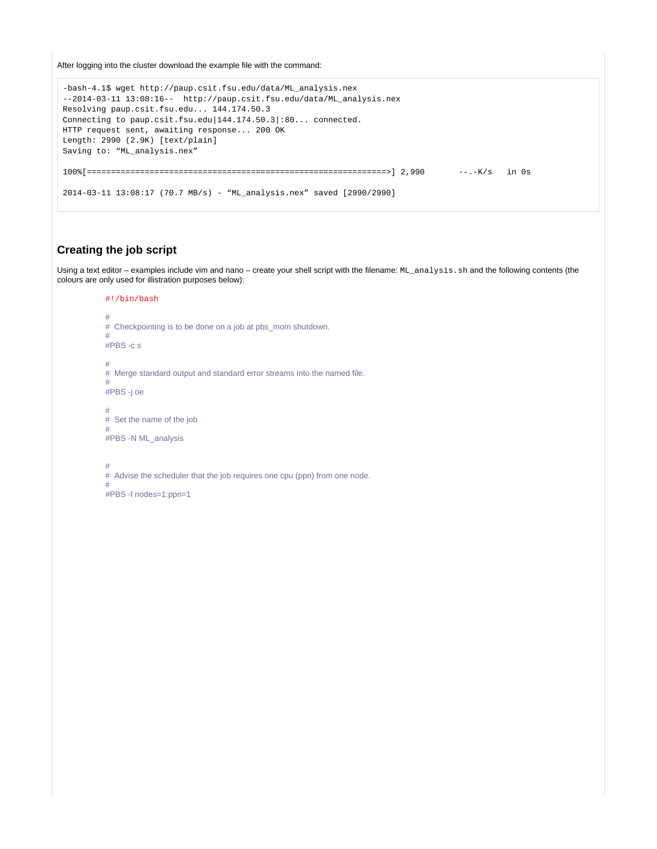After logging into the cluster download the example file with the command:

```
-bash-4.1$ wget http://paup.csit.fsu.edu/data/ML_analysis.nex
--2014-03-11 13:08:16-- http://paup.csit.fsu.edu/data/ML_analysis.nex
Resolving paup.csit.fsu.edu... 144.174.50.3
Connecting to paup.csit.fsu.edu|144.174.50.3|:80... connected.
HTTP request sent, awaiting response... 200 OK
Length: 2990 (2.9K) [text/plain]
Saving to: "ML_analysis.nex"
100\% {\tt[\texttt{-----}} = \texttt{-----} = \texttt{-----} = \texttt{-----} = \texttt{-----} = \texttt{-----} = \texttt{-----} = \texttt{-----} = \texttt{-----} \quad 2,990 \qquad \texttt{---}.K/\texttt{s} \quad \text{in 0s}2014-03-11 13:08:17 (70.7 MB/s) - "ML_analysis.nex" saved [2990/2990]
```
### <span id="page-5-0"></span>**Creating the job script**

Using a text editor – examples include vim and nano – create your shell script with the filename: ML\_analysis.sh and the following contents (the colours are only used for illistration purposes below):

```
#!/bin/bash
#
# Checkpointing is to be done on a job at pbs_mom shutdown.
#
#PBS -c s
#
# Merge standard output and standard error streams into the named file.
#
#PBS -j oe
#
# Set the name of the job
#
#PBS -N ML_analysis
#
```
# Advise the scheduler that the job requires one cpu (ppn) from one node.

#PBS -l nodes=1:ppn=1

#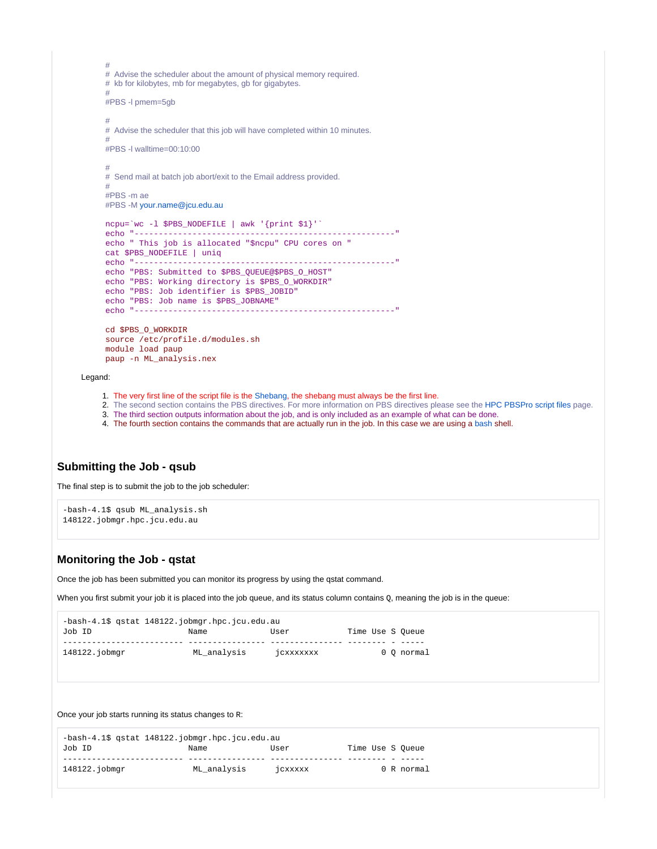# # Advise the scheduler about the amount of physical memory required. # kb for kilobytes, mb for megabytes, gb for gigabytes. # #PBS -l pmem=5gb # # Advise the scheduler that this job will have completed within 10 minutes. # #PBS -l walltime=00:10:00 # # Send mail at batch job abort/exit to the Email address provided. # #PBS -m ae #PBS -M [your.name@jcu.edu.au](mailto:your.name@jcu.edu.au) ncpu=`wc -l \$PBS\_NODEFILE | awk '{print \$1}'` echo "------------------------------------------------------" echo " This job is allocated "\$ncpu" CPU cores on " cat \$PBS\_NODEFILE | uniq echo "------------------------------------------------------" echo "PBS: Submitted to \$PBS\_QUEUE@\$PBS\_O\_HOST" echo "PBS: Working directory is \$PBS\_O\_WORKDIR" echo "PBS: Job identifier is \$PBS\_JOBID" echo "PBS: Job name is \$PBS\_JOBNAME" echo "------------------------------------------------------" cd \$PBS\_O\_WORKDIR source /etc/profile.d/modules.sh module load paup paup -n ML\_analysis.nex

#### Legand:

- 1. The very first line of the script file is the [Shebang,](http://en.wikipedia.org/wiki/Shebang_%28Unix%29) the shebang must always be the first line.
- 2. The second section contains the PBS directives. For more information on PBS directives please see the [HPC PBSPro script files](https://secure.jcu.edu.au/confluence/display/Public/HPC+PBSPro+script+files) page.
- 3. The third section outputs information about the job, and is only included as an example of what can be done.
- 4. The fourth section contains the commands that are actually run in the job. In this case we are using a [bash](http://www.tldp.org/LDP/abs/html/) shell.

### <span id="page-6-0"></span>**Submitting the Job - qsub**

The final step is to submit the job to the job scheduler:

```
-bash-4.1$ qsub ML_analysis.sh
148122.jobmgr.hpc.jcu.edu.au
```
#### <span id="page-6-1"></span>**Monitoring the Job - qstat**

Once the job has been submitted you can monitor its progress by using the qstat command.

When you first submit your job it is placed into the job queue, and its status column contains Q, meaning the job is in the queue:

|               | $-bash-4.15$ qstat $148122$ . jobmqr.hpc.jcu.edu.au |                  |                  |            |
|---------------|-----------------------------------------------------|------------------|------------------|------------|
| Job ID        | Name                                                | User             | Time Use S Oueue |            |
|               |                                                     |                  |                  |            |
| 148122.jobmgr | ML analysis                                         | <b>JCXXXXXXX</b> |                  | 0 O normal |

Once your job starts running its status changes to R:

| $-bash-4.15$ qstat $148122$ . jobmqr.hpc.jcu.edu.au |             |         |                  |  |  |
|-----------------------------------------------------|-------------|---------|------------------|--|--|
| Job ID                                              | Name        | User    | Time Use S Oueue |  |  |
|                                                     |             |         |                  |  |  |
| 148122.jobmgr                                       | ML analysis | jcxxxxx | 0 R normal       |  |  |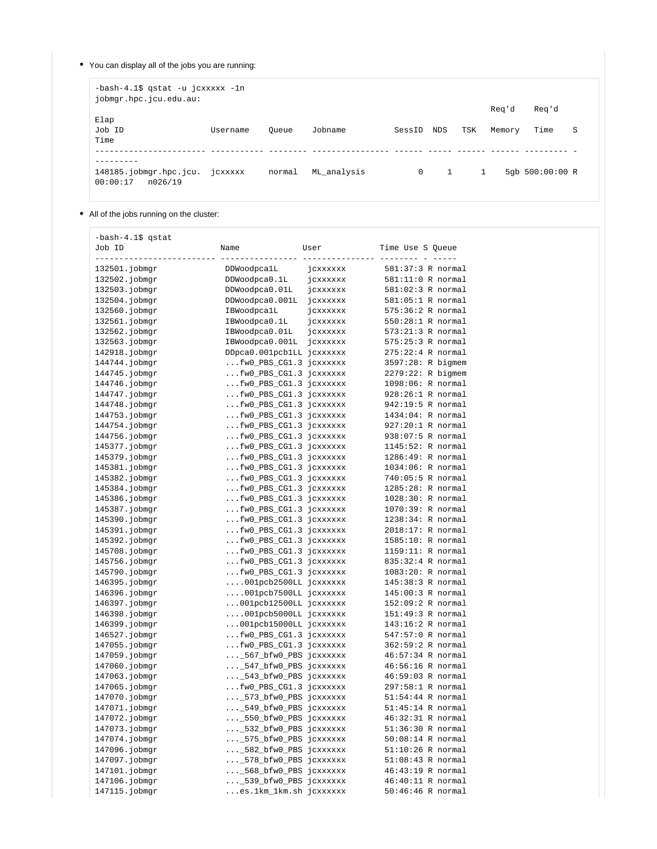You can display all of the jobs you are running:

-bash-4.1\$ qstat -u jcxxxxx -1n jobmgr.hpc.jcu.edu.au:

|                                               |          |        |             |              |              |              | Reg'd  | Reg'd             |    |
|-----------------------------------------------|----------|--------|-------------|--------------|--------------|--------------|--------|-------------------|----|
| Elap<br>Job ID<br>Time                        | Username | Oueue  | Jobname     | SessID NDS   |              | TSK          | Memory | Time              | -S |
|                                               |          |        |             |              |              |              |        |                   |    |
| 148185.jobmgr.hpc.jcu.<br>00:00:17<br>n026/19 | jcxxxxx  | normal | ML analysis | $\mathbf{0}$ | $\mathbf{1}$ | $\mathbf{1}$ |        | 5qb $500:00:00$ R |    |

All of the jobs running on the cluster:

| -bash-4.1\$ qstat<br>Job ID<br>$- - - -$ | Name                      | User     | Time Use S Queue    |
|------------------------------------------|---------------------------|----------|---------------------|
| 132501.jobmgr                            | DDWoodpcalL               | jcxxxxxx | 581:37:3 R normal   |
| 132502.jobmgr                            | DDWoodpca0.1L             | jcxxxxxx | 581:11:0 R normal   |
| 132503.jobmgr                            | DDWoodpca0.01L            | jcxxxxxx | 581:02:3 R normal   |
| 132504.jobmgr                            | DDWoodpca0.001L           | jcxxxxxx | 581:05:1 R normal   |
| 132560.jobmgr                            | IBWoodpcalL               | jcxxxxxx | 575:36:2 R normal   |
| 132561.jobmgr                            | IBWoodpca0.1L             | jcxxxxxx | 550:28:1 R normal   |
| 132562.jobmgr                            | IBWoodpca0.01L            | jcxxxxxx | 573:21:3 R normal   |
| 132563.jobmgr                            | IBWoodpca0.001L           | jcxxxxxx | 575:25:3 R normal   |
| 142918.jobmgr                            | DDpca0.001pcb1LL jcxxxxxx |          | 275:22:4 R normal   |
| 144744.jobmgr                            | fw0_PBS_CG1.3 jcxxxxxx    |          | 3597:28: R bigmem   |
| 144745.jobmgr                            | fw0_PBS_CG1.3 jcxxxxxx    |          | 2279:22: R bigmem   |
| 144746.jobmgr                            | fw0_PBS_CG1.3 jcxxxxxx    |          | 1098:06: R normal   |
| 144747.jobmgr                            | fw0_PBS_CG1.3 jcxxxxxx    |          | $928:26:1$ R normal |
| 144748.jobmgr                            | fw0_PBS_CG1.3 jcxxxxxx.   |          | 942:19:5 R normal   |
| 144753.jobmgr                            | fw0_PBS_CG1.3 jcxxxxxx    |          | $1434:04:$ R normal |
| 144754.jobmgr                            | fw0_PBS_CG1.3 jcxxxxxx    |          | $927:20:1$ R normal |
| 144756.jobmgr                            | fw0_PBS_CG1.3 jcxxxxxx    |          | 938:07:5 R normal   |
| 145377.jobmgr                            | fw0_PBS_CG1.3 jcxxxxxx    |          | 1145:52: R normal   |
| 145379.jobmgr                            | fw0_PBS_CG1.3 jcxxxxxx    |          | 1286:49: R normal   |
| 145381.jobmgr                            | fw0_PBS_CG1.3 jcxxxxxx    |          | 1034:06: R normal   |
| 145382.jobmgr                            | fw0_PBS_CG1.3 jcxxxxxx    |          | 740:05:5 R normal   |
| 145384.jobmgr                            | fw0 PBS CG1.3 jcxxxxxx    |          | 1285:28: R normal   |
| 145386.jobmgr                            | fw0_PBS_CG1.3 jcxxxxxx    |          | 1028:30: R normal   |
| 145387.jobmgr                            | fw0_PBS_CG1.3 jcxxxxxx    |          | 1070:39: R normal   |
| 145390.jobmgr                            | fw0_PBS_CG1.3 jcxxxxxx    |          | 1238:34: R normal   |
| 145391.jobmgr                            | fw0_PBS_CG1.3 jcxxxxxx.   |          | 2018:17: R normal   |
| 145392.jobmgr                            | fw0_PBS_CG1.3 jcxxxxxx    |          | 1585:10: R normal   |
| 145708.jobmgr                            | fw0_PBS_CG1.3 jcxxxxxx    |          | 1159:11: R normal   |
| 145756.jobmgr                            | fw0_PBS_CG1.3 jcxxxxxx    |          | 835:32:4 R normal   |
| 145790.jobmgr                            | fw0_PBS_CG1.3 jcxxxxxx.   |          | 1083:20: R normal   |
| 146395.jobmgr                            | 001pcb2500LL jcxxxxxx     |          | 145:38:3 R normal   |
| 146396.jobmgr                            | 001pcb7500LL jcxxxxxx     |          | 145:00:3 R normal   |
| 146397.jobmgr                            | 001pcb12500LL jcxxxxxx    |          | 152:09:2 R normal   |
| 146398.jobmgr                            | 001pcb5000LL jcxxxxxx     |          | 151:49:3 R normal   |
| 146399.jobmgr                            | 001pcb15000LL jcxxxxxx    |          | 143:16:2 R normal   |
| 146527.jobmgr                            | fw0_PBS_CG1.3 jcxxxxxx    |          | 547:57:0 R normal   |
| 147055.jobmgr                            | fw0_PBS_CG1.3 jcxxxxxx    |          | 362:59:2 R normal   |
| 147059.jobmgr                            | _567_bfw0_PBS jcxxxxxx    |          | 46:57:34 R normal   |
| 147060.jobmgr                            | _547_bfw0_PBS jcxxxxxx    |          | 46:56:16 R normal   |
| 147063.jobmgr                            | _543_bfw0_PBS jcxxxxxx    |          | 46:59:03 R normal   |
| 147065.jobmgr                            | fw0_PBS_CG1.3 jcxxxxxx    |          | 297:58:1 R normal   |
| 147070.jobmgr                            | _573_bfw0_PBS jcxxxxxx    |          | 51:54:44 R normal   |
| 147071.jobmgr                            | _549_btw0_PBS jcxxxxxx    |          | $51:45:14$ R normal |
| 147072.jobmgr                            | _550_bfw0_PBS jcxxxxxx    |          | 46:32:31 R normal   |
| 147073.jobmgr                            | _532_bfw0_PBS jcxxxxxx    |          | 51:36:30 R normal   |
| 147074.jobmgr                            | _575_bfw0_PBS jcxxxxxx    |          | $50:08:14$ R normal |
| 147096.jobmgr                            | _582_bfw0_PBS jcxxxxxx    |          | $51:10:26$ R normal |
| 147097.jobmgr                            | _578_bfw0_PBS jcxxxxxx    |          | 51:08:43 R normal   |
| 147101.jobmgr                            | _568_bfw0_PBS jcxxxxxx    |          | 46:43:19 R normal   |
| 147106.jobmgr                            | _539_bfw0_PBS jcxxxxxx    |          | 46:40:11 R normal   |
| 147115.jobmgr                            | es.1km_1km.sh jcxxxxxx    |          | 50:46:46 R normal   |
|                                          |                           |          |                     |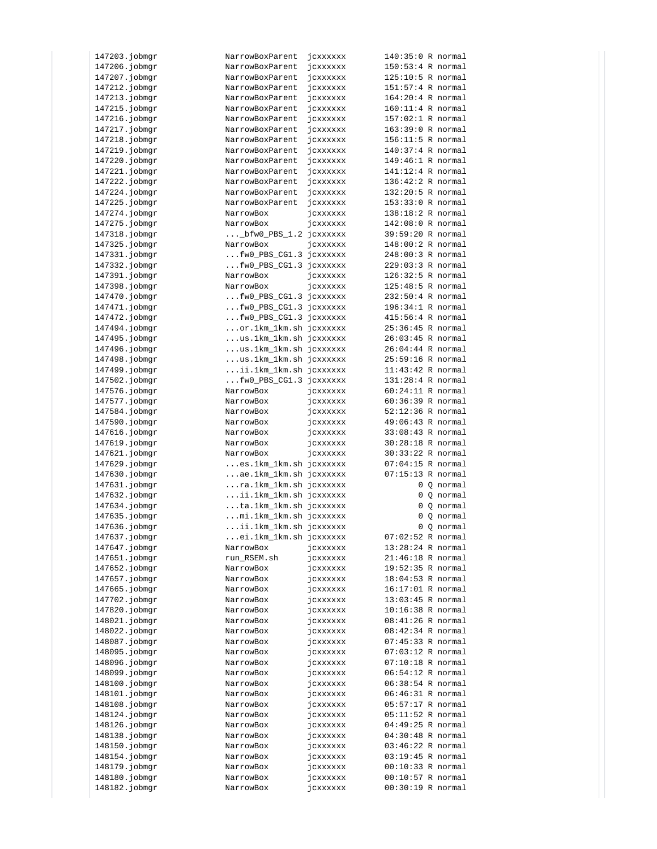| 147203.jobmgr | NarrowBoxParent         | JCXXXXXX             | $140:35:0$ R normal |            |
|---------------|-------------------------|----------------------|---------------------|------------|
| 147206.jobmgr | NarrowBoxParent         | jcxxxxxx             | $150:53:4$ R normal |            |
| 147207.jobmgr | NarrowBoxParent         | jcxxxxxx             | 125:10:5 R normal   |            |
|               |                         |                      |                     |            |
| 147212.jobmgr | NarrowBoxParent         | jcxxxxxx             | 151:57:4 R normal   |            |
| 147213.jobmgr | NarrowBoxParent         | jcxxxxxx             | 164:20:4 R normal   |            |
| 147215.jobmgr | NarrowBoxParent         | jcxxxxxx             | 160:11:4 R normal   |            |
| 147216.jobmgr | NarrowBoxParent         | jcxxxxxx             | 157:02:1 R normal   |            |
| 147217.jobmgr | NarrowBoxParent         | jcxxxxxx             | 163:39:0 R normal   |            |
| 147218.jobmgr | NarrowBoxParent         | jcxxxxxx             | 156:11:5 R normal   |            |
|               |                         |                      |                     |            |
| 147219.jobmgr | NarrowBoxParent         | jcxxxxxx             | 140:37:4 R normal   |            |
| 147220.jobmgr | NarrowBoxParent         | jcxxxxxx             | 149:46:1 R normal   |            |
| 147221.jobmgr | NarrowBoxParent         | jcxxxxxx             | $141:12:4$ R normal |            |
| 147222.jobmgr | NarrowBoxParent         | jcxxxxxx             | 136:42:2 R normal   |            |
| 147224.jobmgr | NarrowBoxParent         | jcxxxxxx             | 132:20:5 R normal   |            |
| 147225.jobmgr | NarrowBoxParent         | jcxxxxxx             | 153:33:0 R normal   |            |
| 147274.jobmgr | NarrowBox               |                      | 138:18:2 R normal   |            |
|               |                         | jcxxxxxx             |                     |            |
| 147275.jobmgr | NarrowBox               | jcxxxxxx             | 142:08:0 R normal   |            |
| 147318.jobmgr | _bfw0_PBS_1.2 jcxxxxxx  |                      | 39:59:20 R normal   |            |
| 147325.jobmgr | NarrowBox               | jcxxxxxx             | 148:00:2 R normal   |            |
| 147331.jobmgr | fw0_PBS_CG1.3 jcxxxxxx  |                      | 248:00:3 R normal   |            |
| 147332.jobmgr | fw0_PBS_CG1.3 jcxxxxxx  |                      | 229:03:3 R normal   |            |
| 147391.jobmgr | NarrowBox               | jcxxxxxx             | 126:32:5 R normal   |            |
|               |                         |                      |                     |            |
| 147398.jobmgr | NarrowBox               | jcxxxxxx             | 125:48:5 R normal   |            |
| 147470.jobmgr | fw0_PBS_CG1.3 jcxxxxxx  |                      | 232:50:4 R normal   |            |
| 147471.jobmgr | fw0_PBS_CG1.3 jcxxxxxx  |                      | 196:34:1 R normal   |            |
| 147472.jobmgr | fw0_PBS_CG1.3 jcxxxxxx  |                      | 415:56:4 R normal   |            |
| 147494.jobmgr | or.1km_1km.sh jcxxxxxx  |                      | 25:36:45 R normal   |            |
| 147495.jobmgr | us.1km_1km.sh jcxxxxxx  |                      | 26:03:45 R normal   |            |
| 147496.jobmgr | us.1km_1km.sh jcxxxxxx  |                      | 26:04:44 R normal   |            |
|               |                         |                      |                     |            |
| 147498.jobmgr | us.1km_1km.sh jcxxxxxx  |                      | 25:59:16 R normal   |            |
| 147499.jobmgr | ii.1km_1km.sh jcxxxxxx. |                      | $11:43:42$ R normal |            |
| 147502.jobmgr | fw0_PBS_CG1.3 jcxxxxxx  |                      | 131:28:4 R normal   |            |
| 147576.jobmgr | NarrowBox               | jcxxxxxx             | $60:24:11$ R normal |            |
| 147577.jobmgr | NarrowBox               | jcxxxxxx             | 60:36:39 R normal   |            |
| 147584.jobmgr | NarrowBox               | jcxxxxxx             | 52:12:36 R normal   |            |
| 147590.jobmgr | NarrowBox               | jcxxxxxx             | 49:06:43 R normal   |            |
|               |                         |                      |                     |            |
| 147616.jobmgr | NarrowBox               | jcxxxxxx             | 33:08:43 R normal   |            |
| 147619.jobmgr | NarrowBox               | jcxxxxxx             | 30:28:18 R normal   |            |
| 147621.jobmgr | NarrowBox               | jcxxxxxx             | 30:33:22 R normal   |            |
| 147629.jobmgr | es.1km_1km.sh jcxxxxxx  |                      | $07:04:15$ R normal |            |
| 147630.jobmgr | ae.1km_1km.sh jcxxxxxx  |                      | 07:15:13 R normal   |            |
| 147631.jobmgr | ra.1km_1km.sh jcxxxxxx  |                      |                     | 0 Q normal |
| 147632.jobmgr | ii.1km_1km.sh jcxxxxxx  |                      |                     | 0 Q normal |
|               |                         |                      |                     |            |
| 147634.jobmgr | ta.1km_1km.sh jcxxxxxx  |                      |                     | 0 Q normal |
| 147635.jobmgr | mi.1km_1km.sh jcxxxxxx  |                      |                     | 0 Q normal |
| 147636.jobmgr | ii.1km_1km.sh jcxxxxxx  |                      |                     | 0 Q normal |
| 147637.jobmgr | ei.1km_1km.sh jcxxxxxx  |                      | 07:02:52 R normal   |            |
| 147647.jobmgr | NarrowBox               | jcxxxxxx             | $13:28:24$ R normal |            |
| 147651.jobmgr | run RSEM.sh             | jcxxxxxx             | 21:46:18 R normal   |            |
| 147652.jobmgr | NarrowBox               | jcxxxxxx             | 19:52:35 R normal   |            |
|               |                         |                      |                     |            |
| 147657.jobmgr | NarrowBox               | jcxxxxxx             | 18:04:53 R normal   |            |
| 147665.jobmgr | NarrowBox               | jcxxxxxx             | 16:17:01 R normal   |            |
| 147702.jobmgr | NarrowBox               | jcxxxxxx             | $13:03:45$ R normal |            |
| 147820.jobmgr | NarrowBox               | jcxxxxxx             | 10:16:38 R normal   |            |
| 148021.jobmgr | NarrowBox               | jcxxxxxx             | 08:41:26 R normal   |            |
| 148022.jobmgr | NarrowBox               | jcxxxxxx             | $08:42:34$ R normal |            |
| 148087.jobmgr |                         |                      | 07:45:33 R normal   |            |
|               | NarrowBox               | jcxxxxxx             |                     |            |
| 148095.jobmgr | NarrowBox               | jcxxxxxx             | $07:03:12$ R normal |            |
| 148096.jobmgr | NarrowBox               | jcxxxxxx             | 07:10:18 R normal   |            |
| 148099.jobmgr | NarrowBox               | jcxxxxxx             | $06:54:12$ R normal |            |
| 148100.jobmgr | NarrowBox               | jcxxxxxx             | 06:38:54 R normal   |            |
| 148101.jobmgr | NarrowBox               | jcxxxxxx             | 06:46:31 R normal   |            |
| 148108.jobmgr | NarrowBox               | jcxxxxxx             | 05:57:17 R normal   |            |
|               |                         |                      |                     |            |
| 148124.jobmgr | NarrowBox               | jcxxxxxx             | $05:11:52$ R normal |            |
| 148126.jobmgr | NarrowBox               | jcxxxxxx             | 04:49:25 R normal   |            |
| 148138.jobmgr | NarrowBox               | jcxxxxxx             | 04:30:48 R normal   |            |
| 148150.jobmgr | NarrowBox               | jcxxxxxx             | 03:46:22 R normal   |            |
| 148154.jobmgr | NarrowBox               | jcxxxxxx             | $03:19:45$ R normal |            |
| 148179.jobmgr | NarrowBox               | jcxxxxxx             | 00:10:33 R normal   |            |
|               | NarrowBox               |                      | 00:10:57 R normal   |            |
| 148180.jobmgr |                         | jcxxxxxx<br>jcxxxxxx | 00:30:19 R normal   |            |
| 148182.jobmgr | NarrowBox               |                      |                     |            |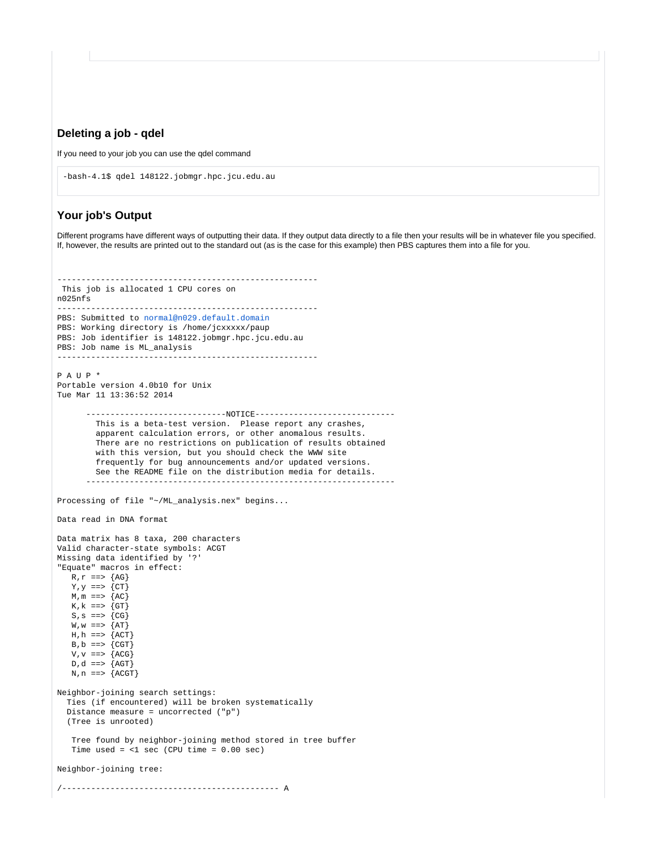#### <span id="page-9-0"></span>**Deleting a job - qdel**

If you need to your job you can use the qdel command

```
-bash-4.1$ qdel 148122.jobmgr.hpc.jcu.edu.au
```
### <span id="page-9-1"></span>**Your job's Output**

Different programs have different ways of outputting their data. If they output data directly to a file then your results will be in whatever file you specified. If, however, the results are printed out to the standard out (as is the case for this example) then PBS captures them into a file for you.

```
------------------------------------------------------
 This job is allocated 1 CPU cores on
n025nfs
             ------------------------------------------------------
PBS: Submitted to normal@n029.default.domain
PBS: Working directory is /home/jcxxxxx/paup
PBS: Job identifier is 148122.jobmgr.hpc.jcu.edu.au
PBS: Job name is ML_analysis
------------------------------------------------------
P A U P *
Portable version 4.0b10 for Unix
Tue Mar 11 13:36:52 2014
        -----------------------------NOTICE-----------------------------
         This is a beta-test version. Please report any crashes,
         apparent calculation errors, or other anomalous results.
         There are no restrictions on publication of results obtained
         with this version, but you should check the WWW site
         frequently for bug announcements and/or updated versions.
         See the README file on the distribution media for details.
 ----------------------------------------------------------------
Processing of file "~/ML_analysis.nex" begins...
Data read in DNA format
Data matrix has 8 taxa, 200 characters
Valid character-state symbols: ACGT
Missing data identified by '?'
"Equate" macros in effect:
  R, r == > \{AG\}Y, Y == > \{CT\}M, m == > \{AC\}K, k == > \{GT\}S, S == > \{CG\}W, w == > \{AT\}H, h ==> {ACT}
  B, b == > \{CGT\}V, V == > \{ACG\}D, d == > \{AGT\}N, n ==> {ACGT}
Neighbor-joining search settings:
  Ties (if encountered) will be broken systematically
  Distance measure = uncorrected ("p")
  (Tree is unrooted)
   Tree found by neighbor-joining method stored in tree buffer
  Time used = <1 sec (CPU time = 0.00 sec)
Neighbor-joining tree:
/--------------------------------------------- A
```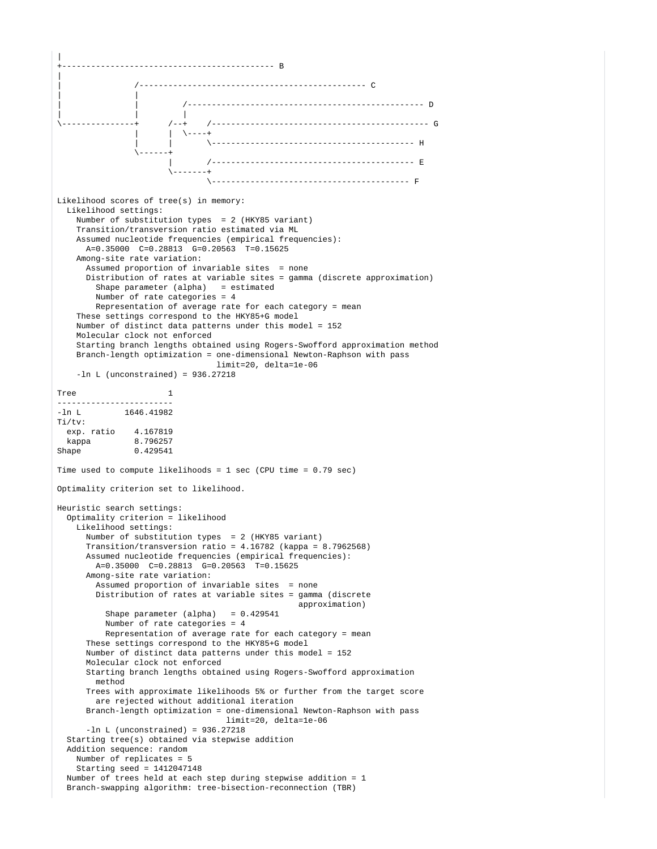